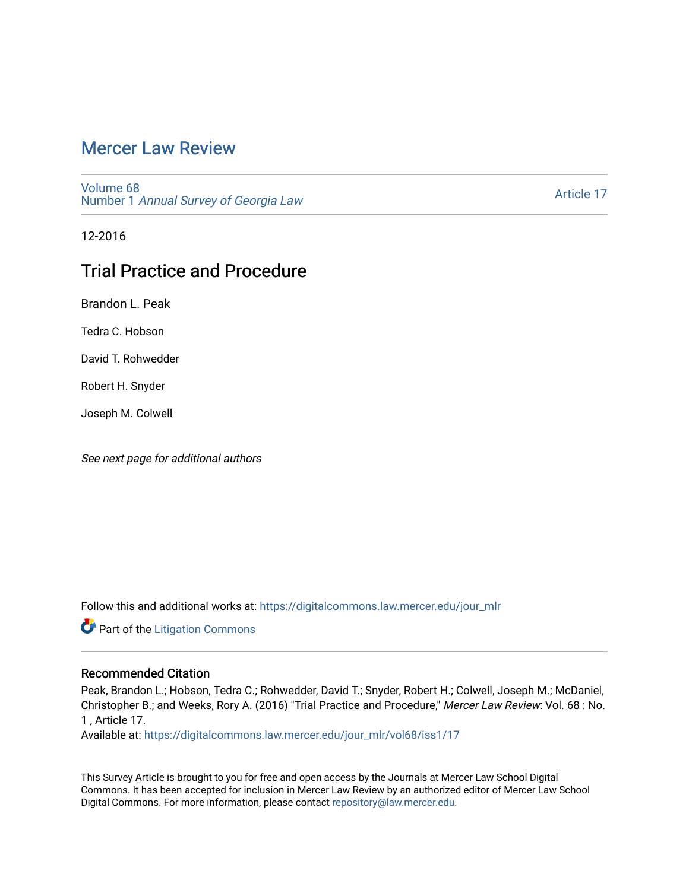# [Mercer Law Review](https://digitalcommons.law.mercer.edu/jour_mlr)

[Volume 68](https://digitalcommons.law.mercer.edu/jour_mlr/vol68) Number 1 [Annual Survey of Georgia Law](https://digitalcommons.law.mercer.edu/jour_mlr/vol68/iss1) 

[Article 17](https://digitalcommons.law.mercer.edu/jour_mlr/vol68/iss1/17) 

12-2016

# Trial Practice and Procedure

Brandon L. Peak

Tedra C. Hobson

David T. Rohwedder

Robert H. Snyder

Joseph M. Colwell

See next page for additional authors

Follow this and additional works at: [https://digitalcommons.law.mercer.edu/jour\\_mlr](https://digitalcommons.law.mercer.edu/jour_mlr?utm_source=digitalcommons.law.mercer.edu%2Fjour_mlr%2Fvol68%2Fiss1%2F17&utm_medium=PDF&utm_campaign=PDFCoverPages)

**Part of the [Litigation Commons](http://network.bepress.com/hgg/discipline/910?utm_source=digitalcommons.law.mercer.edu%2Fjour_mlr%2Fvol68%2Fiss1%2F17&utm_medium=PDF&utm_campaign=PDFCoverPages)** 

### Recommended Citation

Peak, Brandon L.; Hobson, Tedra C.; Rohwedder, David T.; Snyder, Robert H.; Colwell, Joseph M.; McDaniel, Christopher B.; and Weeks, Rory A. (2016) "Trial Practice and Procedure," Mercer Law Review: Vol. 68 : No. 1 , Article 17.

Available at: [https://digitalcommons.law.mercer.edu/jour\\_mlr/vol68/iss1/17](https://digitalcommons.law.mercer.edu/jour_mlr/vol68/iss1/17?utm_source=digitalcommons.law.mercer.edu%2Fjour_mlr%2Fvol68%2Fiss1%2F17&utm_medium=PDF&utm_campaign=PDFCoverPages) 

This Survey Article is brought to you for free and open access by the Journals at Mercer Law School Digital Commons. It has been accepted for inclusion in Mercer Law Review by an authorized editor of Mercer Law School Digital Commons. For more information, please contact [repository@law.mercer.edu](mailto:repository@law.mercer.edu).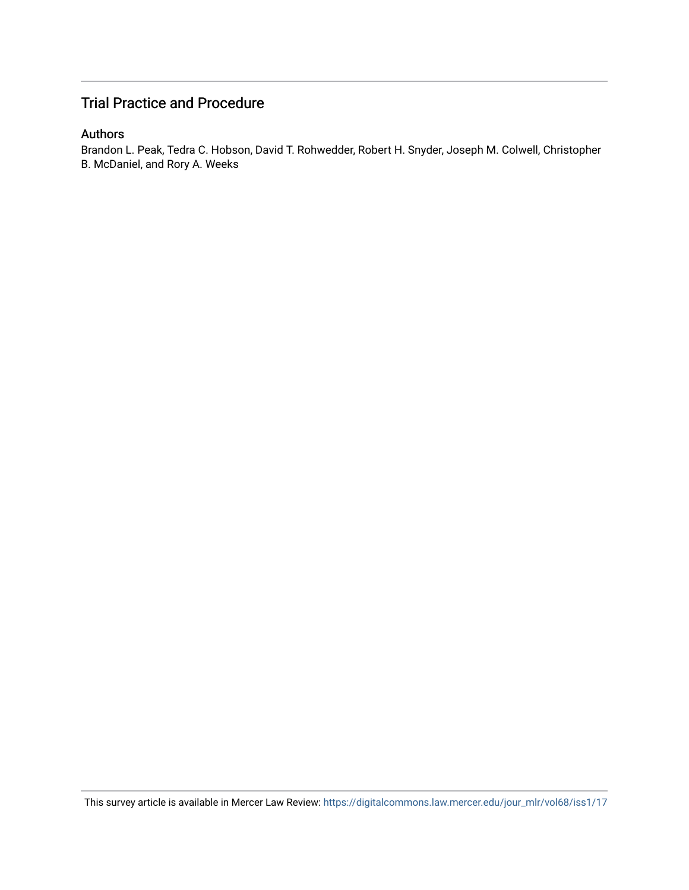## Trial Practice and Procedure

### Authors

Brandon L. Peak, Tedra C. Hobson, David T. Rohwedder, Robert H. Snyder, Joseph M. Colwell, Christopher B. McDaniel, and Rory A. Weeks

This survey article is available in Mercer Law Review: [https://digitalcommons.law.mercer.edu/jour\\_mlr/vol68/iss1/17](https://digitalcommons.law.mercer.edu/jour_mlr/vol68/iss1/17)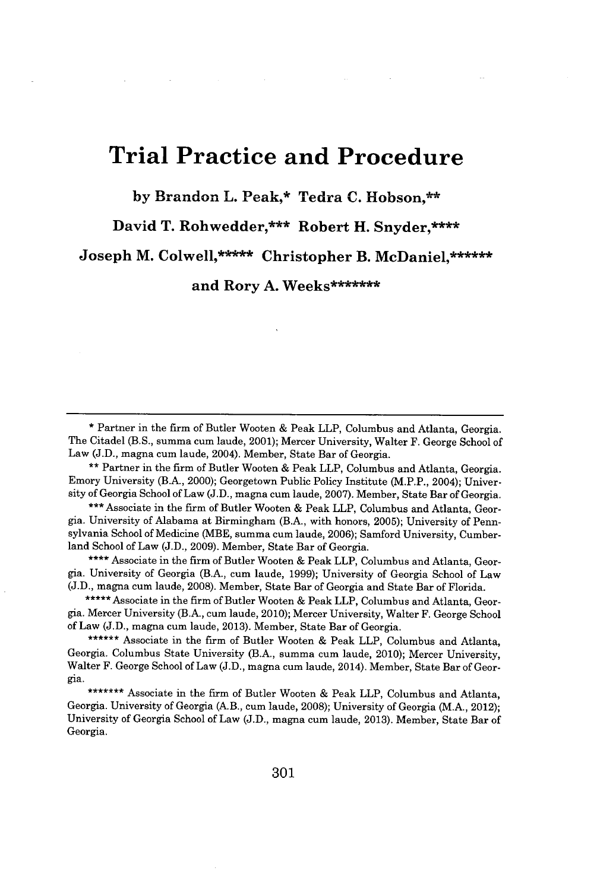# **Trial Practice and Procedure**

**by Brandon L. Peak,\* Tedra C. Hobson,\*\***

David T. Rohwedder,\*\*\* Robert H. Snyder,\*\*\*\*

**Joseph M. Colwell,\*\*\*\*\* Christopher B. McDaniel,\*\*\*\*\***

**and Rory A. Weeks\*\*\*\*\*\*\***

\* Partner in the firm of Butler Wooten **&** Peak LLP, Columbus and Atlanta, Georgia. The Citadel (B.S., summa cum laude, 2001); Mercer University, Walter F. George School of Law **(J.D.,** magna cum laude, 2004). Member, State Bar of Georgia.

**\*\*** Partner in the firm of Butler Wooten **&** Peak LLP, Columbus and Atlanta, Georgia. Emory University (B.A., 2000); Georgetown Public Policy Institute (M.P.P., 2004); University of Georgia School of Law **(J.D.,** magna cum laude, **2007).** Member, State Bar of Georgia.

**\*\*\*** Associate in the firm of Butler Wooten **&** Peak LLP, Columbus and Atlanta, Georgia. University of Alabama at Birmingham (B.A., with honors, **2005);** University of Pennsylvania School of Medicine (MBE, summa cum laude, **2006);** Samford University, Cumberland School of Law **(J.D., 2009).** Member, State Bar of Georgia.

**\*\*\*\*** Associate in the firm of Butler Wooten **&** Peak LLP, Columbus and Atlanta, Georgia. University of Georgia (B.A., cum laude, **1999);** University of Georgia School of Law **(J.D.,** magna cum laude, **2008).** Member, State Bar of Georgia and State Bar of Florida.

**\*\*\*\*\*** Associate in the firm of Butler Wooten **&** Peak LLP, Columbus and Atlanta, Georgia. Mercer University (B.A., cum laude, 2010); Mercer University, Walter F. George School of Law **(J.D.,** magna cum laude, **2013).** Member, State Bar of Georgia.

**\*\*\*\*\*\*** Associate in the firm of Butler Wooten **&** Peak LLP, Columbus and Atlanta, Georgia. Columbus State University (B.A., summa cum laude, 2010); Mercer University, Walter F. George School of Law **(J.D.,** magna cum laude, 2014). Member, State Bar of Georgia.

\*\*\*\*\*\*\* Associate in the firm of Butler Wooten **&** Peak LLP, Columbus and Atlanta, Georgia. University of Georgia (A.B., cum laude, **2008);** University of Georgia **(M.A.,** 2012); University of Georgia School of Law **(J.D.,** magna cum laude, **2013).** Member, State Bar of Georgia.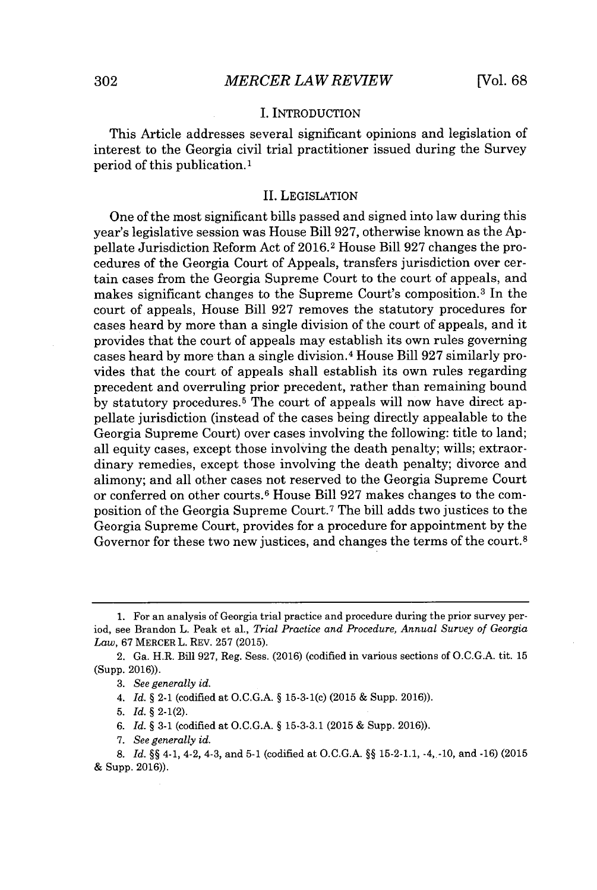#### **I. INTRODUCTION**

This Article addresses several significant opinions and legislation of interest to the Georgia civil trial practitioner issued during the Survey period of this publication.'

#### **II.** LEGISLATION

One of the most significant bills passed and signed into law during this year's legislative session was House Bill **927,** otherwise known as the **Ap**pellate Jurisdiction Reform Act of **2016.2** House Bill **927** changes the procedures of the Georgia Court of Appeals, transfers jurisdiction over certain cases from the Georgia Supreme Court to the court of appeals, and makes significant changes to the Supreme Court's composition.3 In the court of appeals, House Bill **927** removes the statutory procedures for cases heard **by** more than a single division of the court of appeals, and it provides that the court of appeals may establish its own rules governing cases heard **by** more than a single division. <sup>4</sup>House Bill **927** similarly provides that the court of appeals shall establish its own rules regarding precedent and overruling prior precedent, rather than remaining bound by statutory procedures.<sup>5</sup> The court of appeals will now have direct appellate jurisdiction (instead of the cases being directly appealable to the Georgia Supreme Court) over cases involving the following: title to land; all equity cases, except those involving the death penalty; wills; extraordinary remedies, except those involving the death penalty; divorce and alimony; and all other cases not reserved to the Georgia Supreme Court or conferred on other courts.<sup>6</sup>House Bill **927** makes changes to the composition of the Georgia Supreme Court.<sup>7</sup>The bill adds two justices to the Georgia Supreme Court, provides for a procedure for appointment **by** the Governor for these two new justices, and changes the terms of the court.<sup>8</sup>

*4. Id.* **§** 2-1 (codified at **O.C.G.A. §** 15-3-1(c) **(2015 &** Supp. **2016)).**

**5.** *Id.* **§** 2-1(2).

**6.** *Id.* **§ 3-1** (codified at **O.C.G.A. § 15-3-3.1 (2015 &** Supp. **2016)).**

**7.** *See generally id.*

**<sup>1.</sup>** For an analysis of Georgia trial practice and procedure during the prior survey period, see Brandon L. Peak et al., *Trial Practice and Procedure, Annual Survey of Georgia Law,* **67** MERCER L. REV. **257 (2015).**

<sup>2.</sup> Ga. H.R. Bill **927,** Reg. Sess. **(2016)** (codified in various sections of **O.C.G.A.** tit. **15** (Supp. **2016)).**

**<sup>3.</sup>** *See generally id.*

**<sup>8.</sup>** *Id. §§* 4-1, 4-2, 4-3, and **5-1** (codified at **O.C.G.A. §§ 15-2-1.1,** -4,.-10, and **-16) (2015 &** Supp. **2016)).**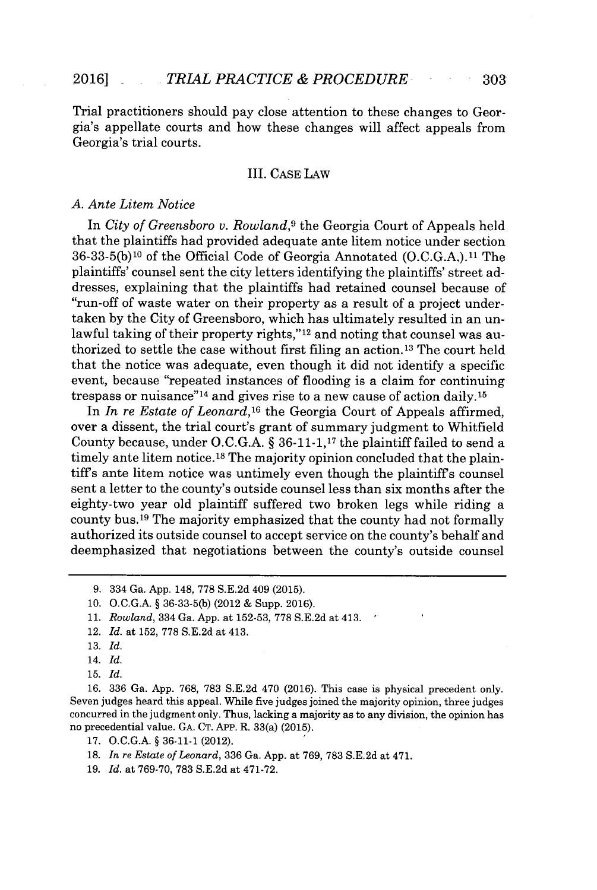Trial practitioners should pay close attention to these changes to Georgia's appellate courts and how these changes will affect appeals from Georgia's trial courts.

#### III. **CASE** LAW

#### *A. Ante Litem Notice*

In *City of Greensboro v. Rowland,<sup>9</sup>*the Georgia Court of Appeals held that the plaintiffs had provided adequate ante litem notice under section **36-33-5(b)'O** of the Official Code of Georgia Annotated **(O.C.G.A.).11** The plaintiffs' counsel sent the city letters identifying the plaintiffs' street addresses, explaining that the plaintiffs had retained counsel because of "run-off of waste water on their property as a result of a project undertaken **by** the City of Greensboro, which has ultimately resulted in an unlawful taking of their property rights,"<sup>12</sup> and noting that counsel was authorized to settle the case without first filing an action.13 The court held that the notice was adequate, even though it did not identify a specific event, because "repeated instances of flooding is a claim for continuing trespass or nuisance"<sup>14</sup>and gives rise to a new cause of action daily. **<sup>15</sup>**

In *In re Estate of Leonard,1<sup>6</sup>*the Georgia Court of Appeals affirmed, over a dissent, the trial court's grant of summary judgment to Whitfield County because, under **O.C.G.A. § 36-11-1,17** the plaintiff failed to send a timely ante litem notice. **18** The majority opinion concluded that the plaintiffs ante litem notice was untimely even though the plaintiffs counsel sent a letter to the county's outside counsel less than six months after the eighty-two year old plaintiff suffered two broken legs while riding a county bus.<sup>19</sup> The majority emphasized that the county had not formally authorized its outside counsel to accept service on the county's behalf and deemphasized that negotiations between the county's outside counsel

- **10. O.C.G.A. § 36-33-5(b)** (2012 **&** Supp. **2016).**
- **11.** *Rowland,* 334 Ga. App. at 152-53, 778 S.E.2d at 413.
- 12. *Id.* at **152, 778 S.E.2d** at 413.
- **13.** *Id.*
- 14. *Id.*
- **15.** *Id.*

**16. 336** Ga. **App. 768, 783 S.E.2d** 470 **(2016).** This case is physical precedent only. Seven judges heard this appeal. While five judges joined the majority opinion, three judges concurred in the judgment only. Thus, lacking a majority as to any division, the opinion has no precedential value. **GA. CT.** APP. R. 33(a) **(2015).**

**17. O.C.G.A. § 36-11-1** (2012).

- **18.** *In re Estate of Leonard,* **336** Ga. **App.** at **769, 783 S.E.2d** at 471.
- **19.** *Id.* at **769-70, 783 S.E.2d** at **471-72.**

**<sup>9.</sup>** 334 Ga. **App.** 148, **778 S.E.2d** 409 **(2015).**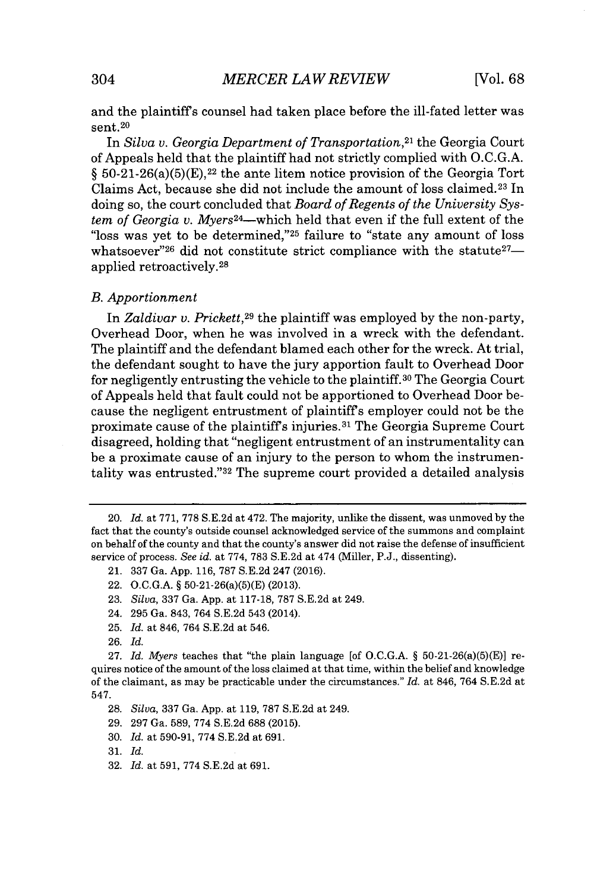and the plaintiffs counsel had taken place before the ill-fated letter was sent.<sup>20</sup>

In *Silva v. Georgia Department of Transportation,<sup>21</sup>*the Georgia Court of Appeals held that the plaintiff had not strictly complied with **O.C.G.A.**  $\S$  50-21-26(a)(5)(E),<sup>22</sup> the ante litem notice provision of the Georgia Tort Claims Act, because she did not include the amount of loss claimed. 23 In doing so, the court concluded that *Board of Regents of the University System of Georgia v. Myers<sup>24</sup>-which* held that even if the full extent of the "loss was yet to be determined,"<sup>25</sup> failure to "state any amount of loss" whatsoever"<sup>26</sup> did not constitute strict compliance with the statute  $27$ applied retroactively. <sup>28</sup>

#### *B. Apportionment*

In *Zaldivar v. Prickett,<sup>29</sup>*the plaintiff was employed **by** the non-party, Overhead Door, when he was involved in a wreck with the defendant. The plaintiff and the defendant blamed each other for the wreck. At trial, the defendant sought to have the jury apportion fault to Overhead Door for negligently entrusting the vehicle to the plaintiff.<sup>30</sup> The Georgia Court of Appeals held that fault could not be apportioned to Overhead Door because the negligent entrustment of plaintiffs employer could not be the proximate cause of the plaintiffs injuries. <sup>31</sup>The Georgia Supreme Court disagreed, holding that "negligent entrustment of an instrumentality can be a proximate cause of an injury to the person to whom the instrumentality was entrusted."<sup>32</sup> The supreme court provided a detailed analysis

- **29. 297** Ga. **589, 774 S.E.2d 688 (2015).**
- **30.** *Id.* at **590-91, 774 S.E.2d** at **691.**

**32.** *Id.* at **591, 774 S.E.2d** at **691.**

<sup>20.</sup> *Id. at* **771, 778 S.E.2d** at 472. The majority, unlike the dissent, was unmoved **by** the fact that the county's outside counsel acknowledged service of the summons and complaint on behalf of the county and that the county's answer did not raise the defense of insufficient service of process. *See id.* at **774, 783 S.E.2d** at 474 (Miller, **P.J.,** dissenting).

<sup>21.</sup> **337** Ga. **App. 116, 787 S.E.2d** 247 **(2016).**

<sup>22.</sup> **O.C.G.A.** *§* 50-21-26(a)(5)(E) **(2013).**

**<sup>23.</sup>** *Silva,* **337** Ga. **App.** at **117-18, 787 S.E.2d** at 249.

<sup>24.</sup> **295** Ga. 843, 764 **S.E.2d** 543 (2014).

**<sup>25.</sup>** *Id.* at 846, 764 **S.E.2d** at 546.

**<sup>26.</sup>** *Id.*

**<sup>27.</sup>** *Id. Myers* teaches that "the plain language [of **O.C.G.A.** *§* 50-21-26(a)(5)(E)] requires notice of the amount of the loss claimed at that time, within the belief and knowledge of the claimant, as may be practicable under the circumstances." *Id.* at 846, 764 **S.E.2d** at 547.

**<sup>28.</sup>** *Silva,* **337** Ga. **App.** at **119, 787 S.E.2d** at 249.

*<sup>31.</sup> Id.*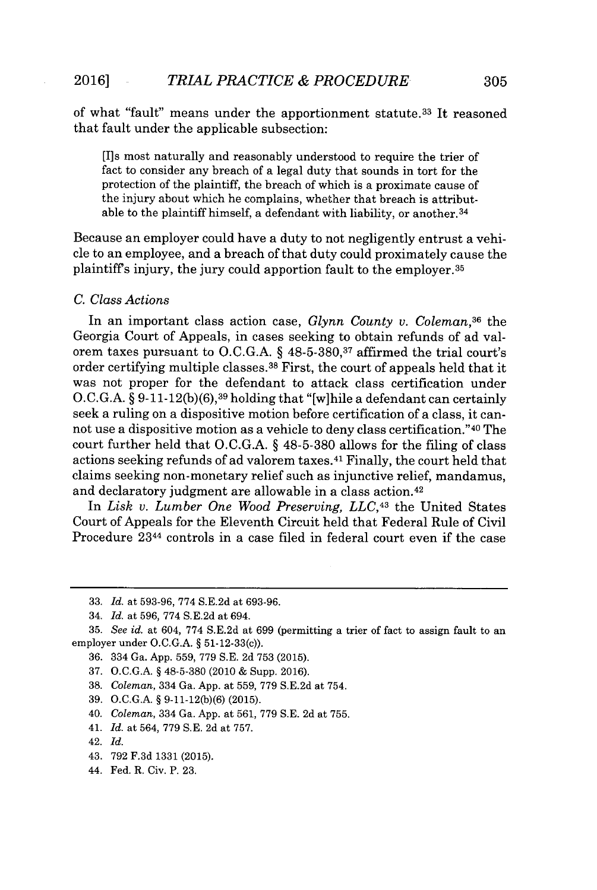of what "fault" means under the apportionment statute.<sup>33</sup> It reasoned that fault under the applicable subsection:

[I]s most naturally and reasonably understood to require the trier of fact to consider any breach of a legal duty that sounds in tort for the protection of the plaintiff, the breach of which is a proximate cause of the injury about which he complains, whether that breach is attributable to the plaintiff himself, a defendant with liability, or another.<sup>34</sup>

Because an employer could have a duty to not negligently entrust a vehicle to an employee, and a breach of that duty could proximately cause the plaintiff's injury, the jury could apportion fault to the employer.<sup>35</sup>

#### *C. Class Actions*

In an important class action case, *Glynn County v. Coleman*<sup>36</sup> the Georgia Court of Appeals, in cases seeking to obtain refunds of ad valorem taxes pursuant to **O.C.G.A.** *§* **48-5-380,37** affirmed the trial court's order certifying multiple classes.<sup>38</sup> First, the court of appeals held that it was not proper for the defendant to attack class certification under **O.C.G.A.** *§* **9-11-12(b)(6),39** holding that "[w]hile a defendant can certainly seek a ruling on a dispositive motion before certification of a class, it cannot use a dispositive motion as a vehicle to deny class certification."<sup>40</sup> The court further held that **O.C.G.A. § 48-5-380** allows for the filing of class actions seeking refunds of ad valorem taxes. <sup>41</sup>Finally, the court held that claims seeking non-monetary relief such as injunctive relief, mandamus, and declaratory judgment are allowable in a class action. <sup>42</sup>

In *Lisk v. Lumber One Wood Preserving, LLC,43* the United States Court of Appeals for the Eleventh Circuit held that Federal Rule of Civil Procedure 2344 controls in a case filed in federal court even if the case

- **38.** *Coleman,* 334 Ga. **App.** at **559, 779 S.E.2d** at 754.
- **39. O.C.G.A. § 9-11-12(b)(6) (2015).**
- 40. *Coleman,* 334 Ga. **App.** at **561, 779 S.E. 2d** at **755.**
- 41. *Id.* at 564, **779 S.E. 2d** at **757.**

44. Fed. R. Civ. P. **23.**

**<sup>33.</sup>** *Id.* at **593-96, 774 S.E.2d** at **693-96.**

<sup>34.</sup> *Id. at 596, 774* **S.E.2d** at 694.

**<sup>35.</sup>** *See id.* at 604, **774 S.E.2d** at **699** (permitting a trier of fact to assign fault to an employer under **O.C.G.A. §** 51-12-33(c)).

**<sup>36.</sup>** 334 Ga. **App. 559, 779 S.E. 2d 753 (2015).**

**<sup>37.</sup> O.C.G.A. § 48-5-380** (2010 **&** Supp. **2016).**

<sup>42.</sup> *Id.*

<sup>43.</sup> **792 F.3d 1331 (2015).**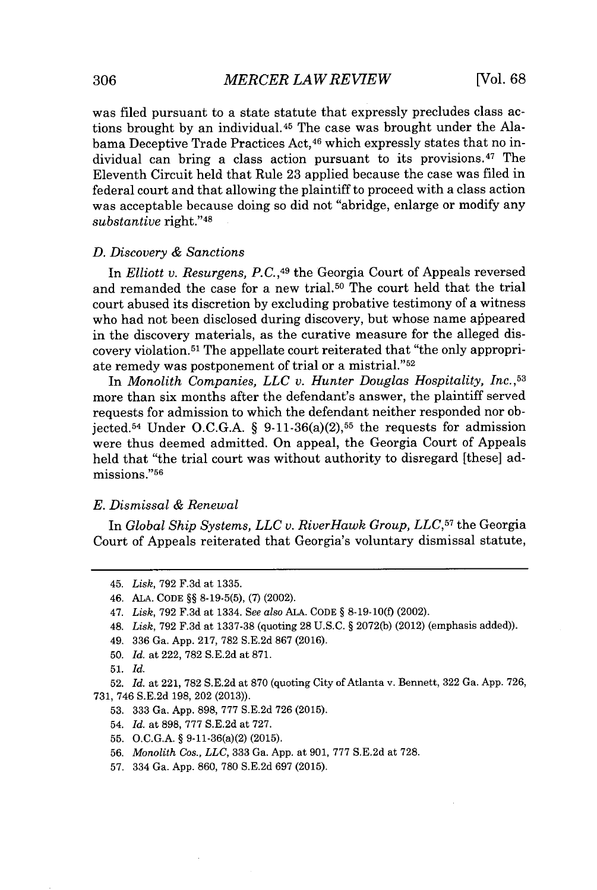was filed pursuant to a state statute that expressly precludes class actions brought **by** an individual. <sup>45</sup>The case was brought under the Alabama Deceptive Trade Practices Act,<sup>46</sup> which expressly states that no individual can bring a class action pursuant to its provisions.<sup>47</sup> The Eleventh Circuit held that Rule **23** applied because the case was filed in federal court and that allowing the plaintiff to proceed with a class action was acceptable because doing so did not "abridge, enlarge or modify any substantive right."<sup>48</sup>

#### *D. Discovery & Sanctions*

In *Elliott v. Resurgens, P.C.*,<sup>49</sup> the Georgia Court of Appeals reversed and remanded the case for a new trial.<sup>50</sup> The court held that the trial court abused its discretion **by** excluding probative testimony of a witness who had not been disclosed during discovery, but whose name appeared in the discovery materials, as the curative measure for the alleged discovery violation. <sup>5</sup>1 The appellate court reiterated that "the only appropriate remedy was postponement of trial or a mistrial."<sup>52</sup>

In *Monolith Companies, LLC v. Hunter Douglas Hospitality, Inc.,53* more than six months after the defendant's answer, the plaintiff served requests for admission to which the defendant neither responded nor objected.<sup>54</sup> Under O.C.G.A.  $\S$  9-11-36(a)(2),<sup>55</sup> the requests for admission were thus deemed admitted. On appeal, the Georgia Court of Appeals held that "the trial court was without authority to disregard [these] admissions."<sup>56</sup>

#### *E. Dismissal & Renewal*

In *Global Ship Systems, LLC v. RiverHawk Group, LLC,57* the Georgia Court of Appeals reiterated that Georgia's voluntary dismissal statute,

- **50.** *Id.* at 222, **782 S.E.2d** at **871.**
- **51.** *Id.*

- **53. 333** Ga. **App. 898, 777 S.E.2d 726 (2015).**
- 54. *Id.* at **898, 777 S.E.2d** at **727.**
- **55. O.C.G.A. §** 9-11-36(a)(2) **(2015).**
- **56.** *Monolith Cos., LLC,* **333** Ga. **App.** at **901, 777 S.E.2d** at **728.**
- **57.** 334 Ga. **App. 860, 780 S.E.2d 697 (2015).**

<sup>45.</sup> *Lisk,* **792 F.3d** at **1335.**

<sup>46.</sup> **ALA. CODE §§ 8-19-5(5), (7)** (2002).

<sup>47.</sup> *Lisk,* **792 F.3d** at 1334. *See also* **ALA. CODE § 8-19-10(f)** (2002).

<sup>48.</sup> *Lisk,* **792 F.3d** at **1337-38** (quoting **28 U.S.C. § 2072(b)** (2012) (emphasis added)).

<sup>49.</sup> **336** Ga. **App. 217, 782 S.E.2d 867 (2016).**

**<sup>52.</sup>** *Id.* at 221, **782 S.E.2d** at **870** (quoting City of Atlanta v. Bennett, **322** Ga. **App. 726, 731,** 746 **S.E.2d 198,** 202 **(2013)).**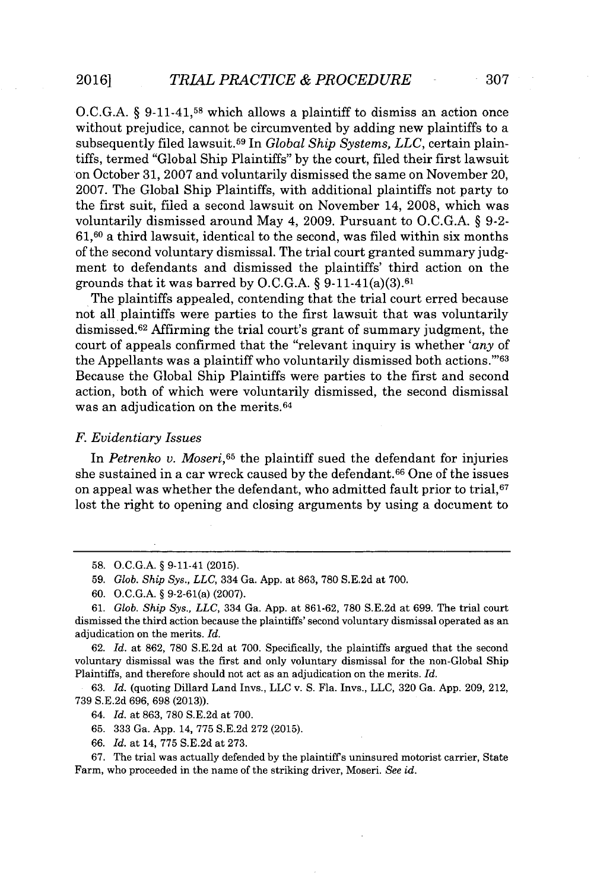**O.C.G.A.** *§* **9-11-41,58** which allows a plaintiff to dismiss an action once without prejudice, cannot be circumvented **by** adding new plaintiffs to a subsequently filed lawsuit.<sup>59</sup> In *Global Ship Systems, LLC*, certain plaintiffs, termed "Global Ship Plaintiffs" **by** the court, filed their first lawsuit on October **31, 2007** and voluntarily dismissed the same on November 20, **2007.** The Global Ship Plaintiffs, with additional plaintiffs not party to the first suit, filed a second lawsuit on November 14, **2008,** which was voluntarily dismissed around May 4, **2009.** Pursuant to **O.C.G.A.** *§* **9-2- 61,60** a third lawsuit, identical to the second, was filed within six months of the second voluntary dismissal. The trial court granted summary **judg**ment to defendants and dismissed the plaintiffs' third action on the grounds that it was barred **by O.C.G.A.** *§* 9-11-41(a)(3).<sup>6</sup> <sup>1</sup>

The plaintiffs appealed, contending that the trial court erred because not all plaintiffs were parties to the first lawsuit that was voluntarily dismissed.<sup>62</sup> Affirming the trial court's grant of summary judgment, the court of appeals confirmed that the "relevant inquiry is whether *'any* of the Appellants was a plaintiff who voluntarily dismissed both actions. $^{263}$ Because the Global Ship Plaintiffs were parties to the first and second action, both of which were voluntarily dismissed, the second dismissal was an adjudication on the merits.<sup>64</sup>

#### *F. Evidentiary Issues*

In *Petrenko v. Moseri,65* the plaintiff sued the defendant for injuries she sustained in a car wreck caused by the defendant.<sup>66</sup> One of the issues on appeal was whether the defendant, who admitted fault prior to trial, <sup>67</sup> lost the right to opening and closing arguments **by** using a document to

*61. Glob. Ship Sys., LLC,* 334 Ga. **App.** at **861-62, 780 S.E.2d** at **699.** The trial court dismissed the third action because the plaintiffs' second voluntary dismissal operated as an adjudication on the merits. *Id.*

**62.** *Id.* at **862, 780 S.E.2d** at **700.** Specifically, the plaintiffs argued that the second voluntary dismissal was the first and only voluntary dismissal for the non-Global Ship Plaintiffs, and therefore should not act as an adjudication on the merits. *Id.*

**63.** *Id.* (quoting Dillard Land Invs., **LLC** v. **S.** Fla. Invs., **LLC, 320** Ga. **App. 209,** 212, **739 S.E.2d 696, 698 (2013)).**

64. *Id.* at **863, 780 S.E.2d** at **700.**

**65. 333** Ga. **App.** 14, **775 S.E.2d 272 (2015).**

**66.** *Id.* at 14, **775 S.E.2d** at **273.**

**67.** The trial was actually defended **by** the plaintiffs uninsured motorist carrier, State Farm, who proceeded in the name of the striking driver, Moseri. *See id.*

**<sup>58.</sup> O.C.G.A. §** 9-11-41 **(2015).**

**<sup>59.</sup>** *Glob. Ship Sys., LLC,* 334 Ga. **App.** at **863, 780 S.E.2d** at **700.**

**<sup>60.</sup> O.C.G.A. §** 9-2-61(a) **(2007).**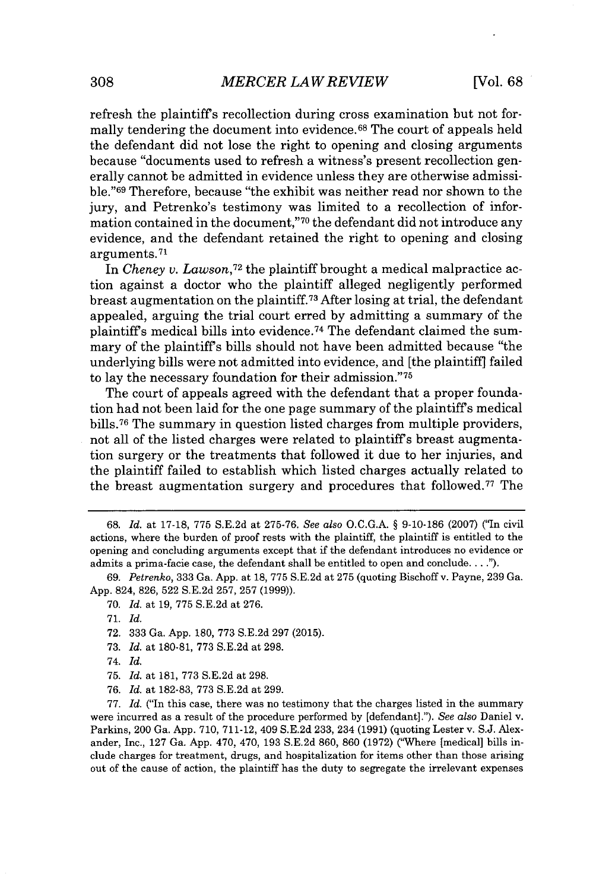refresh the plaintiffs recollection during cross examination but not formally tendering the document into evidence.<sup>68</sup> The court of appeals held the defendant did not lose the right to opening and closing arguments because "documents used to refresh a witness's present recollection generally cannot be admitted in evidence unless they are otherwise admissible."<sup>69</sup> Therefore, because "the exhibit was neither read nor shown to the jury, and Petrenko's testimony was limited to a recollection of information contained in the document,"70 the defendant did not introduce any evidence, and the defendant retained the right to opening and closing arguments.71

In *Cheney v. Lawson,72* the plaintiff brought a medical malpractice action against a doctor who the plaintiff alleged negligently performed breast augmentation on the plaintiff.<sup>73</sup> After losing at trial, the defendant appealed, arguing the trial court erred **by** admitting a summary of the plaintiffs medical bills into evidence. <sup>74</sup>The defendant claimed the summary of the plaintiffs bills should not have been admitted because "the underlying bills were not admitted into evidence, and [the plaintiffl failed to lay the necessary foundation for their admission."<sup>75</sup>

The court of appeals agreed with the defendant that a proper foundation had not been laid for the one page summary of the plaintiffs medical bills.<sup>76</sup> The summary in question listed charges from multiple providers, not all of the listed charges were related to plaintiffs breast augmentation surgery or the treatments that followed it due to her injuries, and the plaintiff failed to establish which listed charges actually related to the breast augmentation surgery and procedures that followed.<sup>77</sup> The

- **72. 333** Ga. **App. 180, 773 S.E.2d 297 (2015).**
- **73.** *Id.* at **180-81, 773 S.E.2d** at **298.**
- 74. *Id.*
- **75.** *Id.* at **181, 773 S.E.2d** at **298.**
- **76.** *Id.* at **182-83, 773 S.E.2d** at **299.**

**77.** *Id.* ("In this case, there was no testimony that the charges listed in the summary were incurred as a result of the procedure performed **by** [defendant]."). *See also* Daniel v. Parkins, 200 Ga. **App. 710, 711-12,** 409 **S.E.2d 233,** 234 **(1991)** (quoting Lester v. **S.J.** Alexander, Inc., **127** Ga. **App.** 470, 470, **193 S.E.2d 860, 860 (1972)** ("Where [medical] bills include charges for treatment, drugs, and hospitalization for items other than those arising out of the cause of action, the plaintiff has the duty to segregate the irrelevant expenses

**<sup>68.</sup>** *Id.* at **17-18, 775 S.E.2d** at **275-76.** *See also* **O.C.G.A.** *§* **9-10-186 (2007)** ("In civil actions, where the burden of proof rests with the plaintiff, the plaintiff is entitled to the opening and concluding arguments except that if the defendant introduces no evidence or admits a prima-facie case, the defendant shall be entitled to open and conclude. **. . .").**

**<sup>69.</sup>** *Petrenko,* **333** Ga. **App.** at **18, 775 S.E.2d** at **275** (quoting Bischoff v. Payne, **239** Ga. **App.** 824, **826, 522 S.E.2d 257, 257 (1999)).**

**<sup>70.</sup>** *Id.* at **19, 775 S.E.2d** at **276.**

**<sup>71.</sup>** *Id.*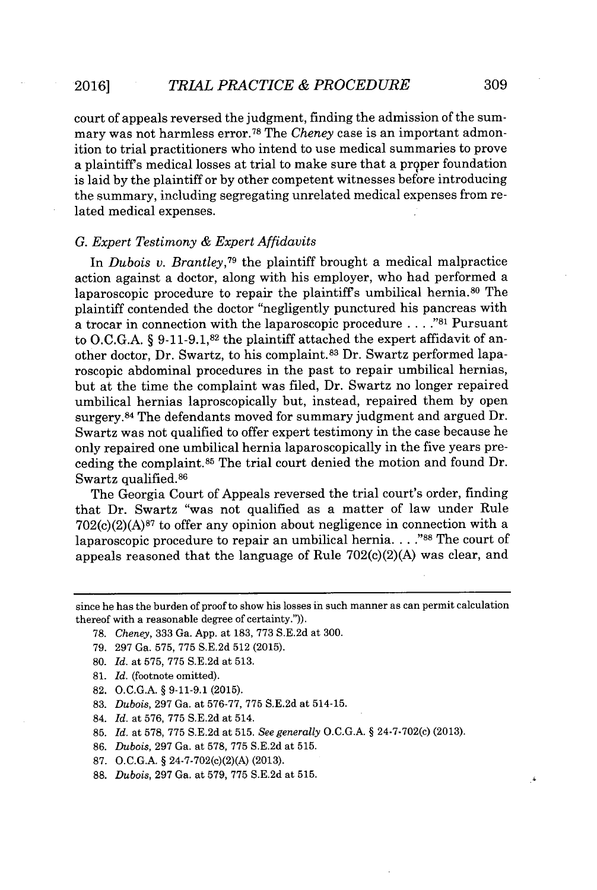court of appeals reversed the judgment, finding the admission of the summary was not harmless error.<sup>78</sup>The *Cheney* case is an important admonition to trial practitioners who intend to use medical summaries to prove a plaintiffs medical losses at trial to make sure that a proper foundation is laid **by** the plaintiff or **by** other competent witnesses before introducing the summary, including segregating unrelated medical expenses from related medical expenses.

#### *G. Expert Testimony & Expert Affidavits*

In *Dubois v. Brantley*<sup>79</sup> the plaintiff brought a medical malpractice action against a doctor, along with his employer, who had performed a laparoscopic procedure to repair the plaintiff's umbilical hernia.<sup>80</sup> The plaintiff contended the doctor "negligently punctured his pancreas with a trocar in connection with the laparoscopic procedure **. . . ."81** Pursuant to **O.C.G.A.** *§* **9-11-9.1,82** the plaintiff attached the expert affidavit of another doctor, Dr. Swartz, to his complaint.83 Dr. Swartz performed laparoscopic abdominal procedures in the past to repair umbilical hernias, but at the time the complaint was filed, Dr. Swartz no longer repaired umbilical hernias laproscopically but, instead, repaired them **by** open surgery. <sup>84</sup>The defendants moved for summary judgment and argued Dr. Swartz was not qualified to offer expert testimony in the case because he only repaired one umbilical hernia laparoscopically in the five years preceding the complaint.<sup>85</sup> The trial court denied the motion and found Dr. Swartz qualified.<sup>86</sup>

The Georgia Court of Appeals reversed the trial court's order, finding that Dr. Swartz "was not qualified as a matter of law under Rule  $702(c)(2)(A)^{87}$  to offer any opinion about negligence in connection with a laparoscopic procedure to repair an umbilical hernia. **.. ."88** The court of appeals reasoned that the language of Rule 702(c)(2)(A) was clear, and

- **78.** *Cheney,* **333** Ga. **App.** at **183, 773 S.E.2d** at **300.**
- **79. 297** Ga. **575, 775 S.E.2d 512 (2015).**
- **80.** *Id.* at **575, 775 S.E.2d** at **513.**
- **81.** *Id.* (footnote omitted).
- **82. O.C.G.A. § 9-11-9.1 (2015).**
- **83.** *Dubois,* **297** Ga. at **576-77, 775 S.E.2d** at 514-15.
- 84. *Id.* at **576, 775 S.E.2d** at 514.
- **85.** *Id.* at **578, 775 S.E.2d** at **515.** *See generally O.C.G.A.* **§** 24-7-702(c) **(2013).**
- **86.** *Dubois,* **297** Ga. at **578, 775 S.E.2d** at **515.**
- **87. O.C.G.A. §** 24-7-702(c)(2)(A) **(2013).**
- **88.** *Dubois,* **297** Ga. at **579, 775 S.E.2d** at **515.**

since he has the burden of proof to show his losses in such manner as can permit calculation thereof with a reasonable degree of certainty.")).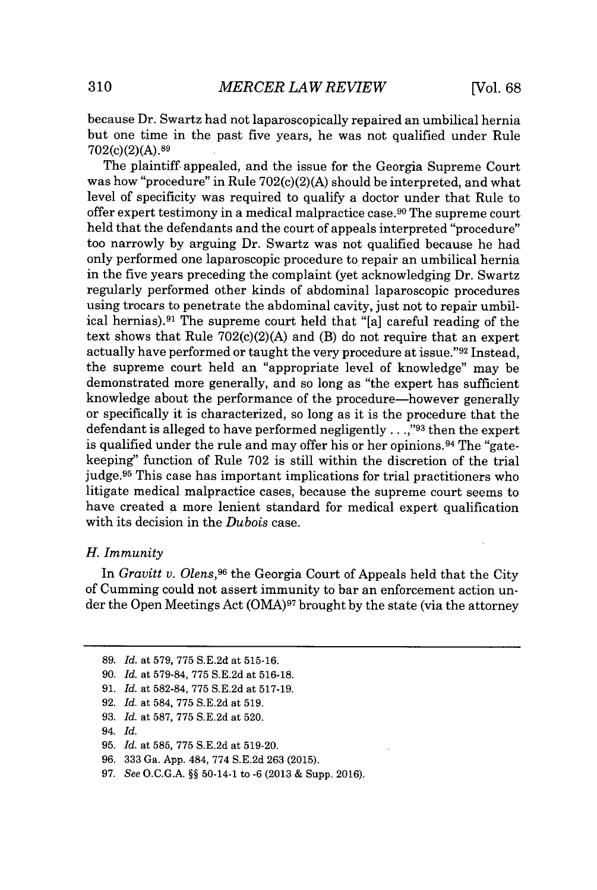because Dr. Swartz had not laparoscopically repaired an umbilical hernia but one time in the past five years, he was not qualified under Rule 702(c)(2)(A).8<sup>9</sup>

The plaintiff appealed, and the issue for the Georgia Supreme Court was how "procedure" in Rule 702(c)(2)(A) should be interpreted, and what level of specificity was required to qualify a doctor under that Rule to offer expert testimony in a medical malpractice case.<sup>90</sup>The supreme court held that the defendants and the court of appeals interpreted "procedure" too narrowly **by** arguing Dr. Swartz was not qualified because he had only performed one laparoscopic procedure to repair an umbilical hernia in the five years preceding the complaint (yet acknowledging Dr. Swartz regularly performed other kinds of abdominal laparoscopic procedures using trocars to penetrate the abdominal cavity, just not to repair umbilical hernias).<sup>91</sup> The supreme court held that "[a] careful reading of the text shows that Rule  $702(c)(2)(A)$  and (B) do not require that an expert actually have performed or taught the very procedure at issue."<sup>92</sup> Instead, the supreme court held an "appropriate level of knowledge" may be demonstrated more generally, and so long as "the expert has sufficient knowledge about the performance of the procedure-however generally or specifically it is characterized, so long as it is the procedure that the defendant is alleged to have performed negligently. **. . ,"93** then the expert is qualified under the rule and may offer his or her opinions.<sup>94</sup> The "gatekeeping" function of Rule **702** is still within the discretion of the trial judge.<sup>95</sup> This case has important implications for trial practitioners who litigate medical malpractice cases, because the supreme court seems to have created a more lenient standard for medical expert qualification with its decision in the *Dubois* case.

#### *H. Immunity*

In *Gravitt v. Olens,<sup>96</sup>*the Georgia Court of Appeals held that the City of Cumming could not assert immunity to bar an enforcement action under the Open Meetings Act **(OIA)97** brought **by** the state (via the attorney

**<sup>89.</sup>** *Id.* at **579, 775 S.E.2d** at **515-16.**

**<sup>90.</sup>** *Id.* at **579-84, 775 S.E.2d** at **516-18.**

**<sup>91.</sup>** *Id.* at **582-84, 775 S.E.2d** at **517-19.**

**<sup>92.</sup>** *Id.* at 584, **775 S.E.2d** at **519.**

**<sup>93.</sup>** *Id.* at **587, 775 S.E.2d** at **520.**

*<sup>94.</sup> Id.*

**<sup>95.</sup>** *Id.* at **585, 775 S.E.2d** at **519-20.**

*<sup>96.</sup>* **333** Ga. **App.** 484, **774 S.E.2d 263 (2015).**

**<sup>97.</sup>** *See* **O.C.G.A. §§** 50-14-1 to **-6 (2013 &** Supp. **2016).**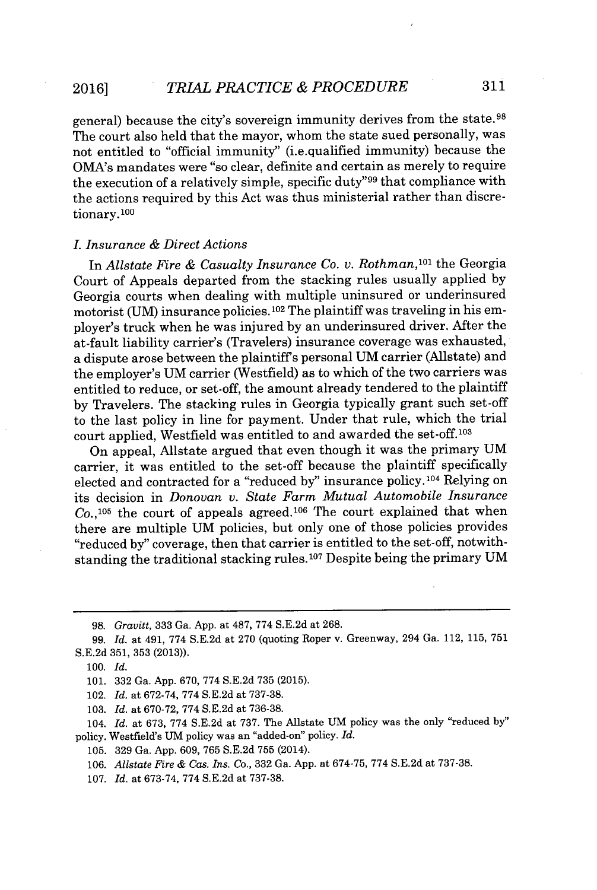general) because the city's sovereign immunity derives from the state.<sup>98</sup> The court also held that the mayor, whom the state sued personally, was not entitled to "official immunity" (i.e.qualified immunity) because the OMA's mandates were "so clear, definite and certain as merely to require the execution of a relatively simple, specific duty"<sup>99</sup> that compliance with the actions required **by** this Act was thus ministerial rather than discretionary.<sup>100</sup>

#### *. Insurance & Direct Actions*

In *Allstate Fire & Casualty Insurance Co. v. Rothman,1<sup>01</sup>*the Georgia Court of Appeals departed from the stacking rules usually applied **by** Georgia courts when dealing with multiple uninsured or underinsured motorist **(UM)** insurance policies.<sup>102</sup> The plaintiff was traveling in his employer's truck when he was injured **by** an underinsured driver. After the at-fault liability carrier's (Travelers) insurance coverage was exhausted, a dispute arose between the plaintiffs personal **UM** carrier (Allstate) and the employer's **UM** carrier (Westfield) as to which of the two carriers was entitled to reduce, or set-off, the amount already tendered to the plaintiff **by** Travelers. The stacking rules in Georgia typically grant such set-off to the last policy in line for payment. Under that rule, which the trial court applied, Westfield was entitled to and awarded the set-off.<sup>103</sup>

On appeal, Allstate argued that even though it was the primary **UM** carrier, it was entitled to the set-off because the plaintiff specifically elected and contracted for a "reduced **by"** insurance **policy.104** Relying on its decision in *Donovan v. State Farm Mutual Automobile Insurance*  $Co.,<sup>105</sup>$  the court of appeals agreed.<sup>106</sup> The court explained that when there are multiple **UM** policies, but only one of those policies provides "reduced **by"** coverage, then that carrier is entitled to the set-off, notwithstanding the traditional stacking rules. **107** Despite being the primary **UM**

- 102. *Id.* at **672-74, 774 S.E.2d** at **737-38.**
- **103.** *Id.* at **670-72, 774 S.E.2d** at **736-38.**

**<sup>98.</sup>** *Gravitt,* 333 Ga. App. at 487, 774 S.E.2d at 268.

**<sup>99.</sup>** *Id. at* 491, **774 S.E.2d** at **270** (quoting Roper v. Greenway, 294 Ga. 112, **115, 751 S.E.2d 351, 353 (2013)).**

*<sup>100.</sup> Id.*

**<sup>101. 332</sup>** Ga. **App. 670, 774 S.E.2d 735 (2015).**

<sup>104.</sup> *Id.* at **673, 774 S.E.2d** at **737.** The Allstate **UM** policy was the only "reduced **by"** policy. Westfield's **UM** policy was an "added-on" policy. *Id.*

**<sup>105. 329</sup>** Ga. **App. 609, 765 S.E.2d 755** (2014).

*<sup>106.</sup> Allstate Fire & Cas. Ins. Co.,* **332** Ga. **App.** at **674-75, 774 S.E.2d** at **737-38.**

**<sup>107.</sup>** *Id.* at **673-74, 774 S.E.2d** at **737-38.**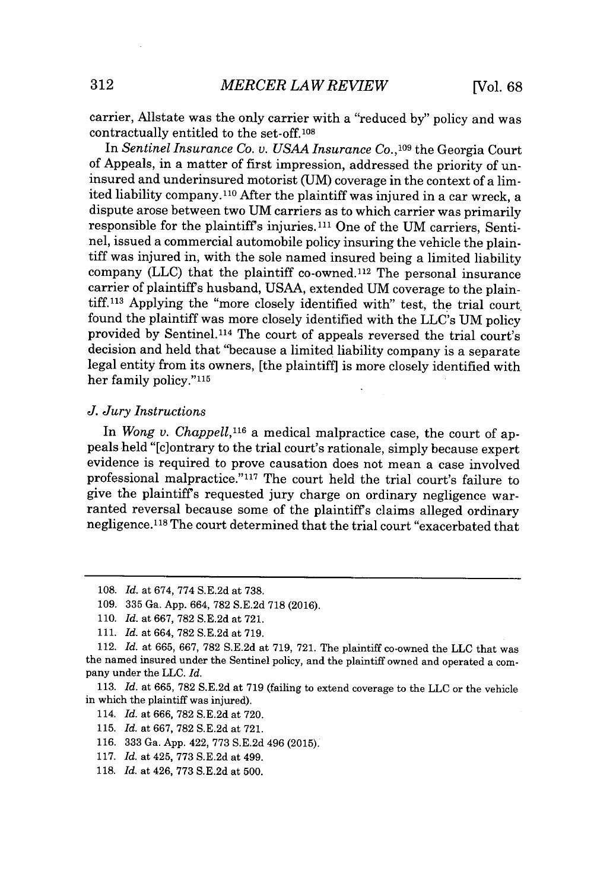carrier, Allstate was the only carrier with a "reduced **by"** policy and was contractually entitled to the set-off.10s

In *Sentinel Insurance Co. v. USAA Insurance Co., <sup>09</sup>*the Georgia Court of Appeals, in a matter of first impression, addressed the priority of uninsured and underinsured motorist **(UM)** coverage in the context of a limited liability company. **110** After the plaintiff was injured in a car wreck, a dispute arose between two **UM** carriers as to which carrier was primarily responsible for the plaintiffs injuries.11 One of the **UM** carriers, Sentinel, issued a commercial automobile policy insuring the vehicle the plaintiff was injured in, with the sole named insured being a limited liability company (LLC) that the plaintiff co-owned.<sup>112</sup> The personal insurance carrier of plaintiffs husband, **USAA,** extended **UM** coverage to the plaintiff.113 Applying the "more closely identified with" test, the trial court found the plaintiff was more closely identified with the LLC's **UM** policy provided **by** Sentinel.114 The court of appeals reversed the trial court's decision and held that "because a limited liability company is a separate legal entity from its owners, [the plaintiff] is more closely identified with her family **policy."1ls**

#### *J. Jury Instructions*

In *Wong v. Chappell,"<sup>6</sup>*a medical malpractice case, the court of appeals held "[c]ontrary to the trial court's rationale, simply because expert evidence is required to prove causation does not mean a case involved professional malpractice."<sup>117</sup> The court held the trial court's failure to give the plaintiffs requested jury charge on ordinary negligence warranted reversal because some of the plaintiffs claims alleged ordinary negligence. <sup>1</sup>1<sup>8</sup>The court determined that the trial court "exacerbated that

- **116. 333** Ga. **App.** 422, **773 S.E.2d** 496 **(2015).**
- **117.** *Id.* at 425, **773 S.E.2d** at 499.
- **118.** *Id.* at 426, 773 S.E.2d at 500.

**<sup>108.</sup>** *Id.* at 674, **774 S.E.2d** at **738.**

**<sup>109. 335</sup>** Ga. **App.** 664, **782 S.E.2d 718 (2016).**

**<sup>110.</sup>** *Id.* at 667, 782 S.E.2d at 721.

**<sup>111.</sup>** *Id.* at 664, 782 S.E.2d at 719.

<sup>112.</sup> *Id.* at **665, 667, 782 S.E.2d** at **719, 721.** The plaintiff co-owned the **LLC** that was the named insured under the Sentinel policy, and the plaintiff owned and operated a company under the **LLC.** *Id.*

**<sup>113.</sup>** *Id.* at **665, 782 S.E.2d** at **719** (failing to extend coverage to the **LLC** or the vehicle in which the plaintiff was injured).

<sup>114.</sup> *Id.* at **666, 782 S.E.2d** at **720.**

**<sup>115.</sup>** *Id.* at **667, 782 S.E.2d** at **721.**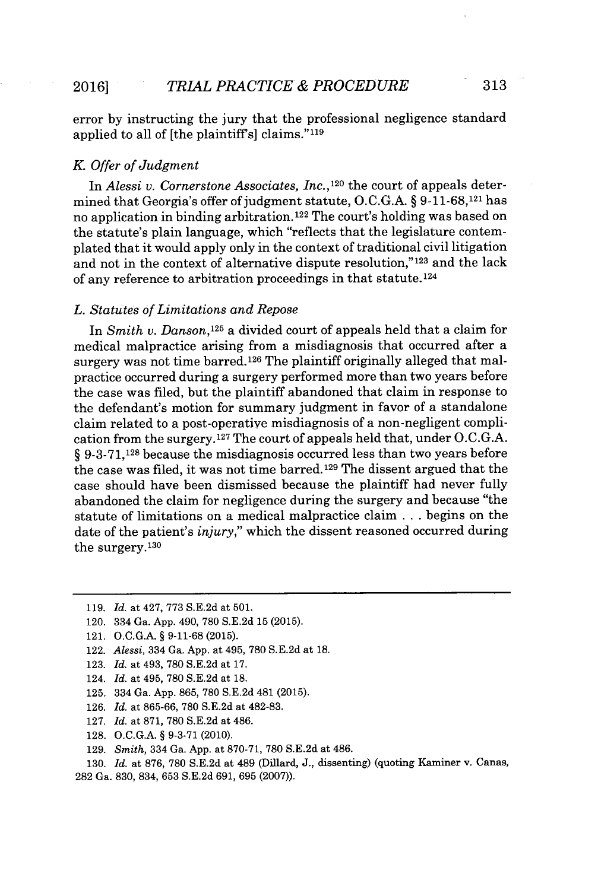error **by** instructing the jury that the professional negligence standard applied to all of [the plaintiff's] claims."<sup>119</sup>

#### *K. Offer of Judgment*

*In Alessi v. Cornerstone Associates, Inc.,120* the court of appeals determined that Georgia's offer of judgment statute, **O.C.G.A. § 9-11-68,121** has no application in binding arbitration.122 The court's holding was based on the statute's plain language, which "reflects that the legislature contemplated that it would apply only in the context of traditional civil litigation and not in the context of alternative dispute resolution,"<sup>123</sup> and the lack of any reference to arbitration proceedings in that statute.<sup>124</sup>

#### *L. Statutes of Limitations and Repose*

In *Smith v. Danson,1<sup>25</sup>*a divided court of appeals held that a claim for medical malpractice arising from a misdiagnosis that occurred after a surgery was not time barred.126 The plaintiff originally alleged that malpractice occurred during a surgery performed more than two years before the case was filed, but the plaintiff abandoned that claim in response to the defendant's motion for summary judgment in favor of a standalone claim related to a post-operative misdiagnosis of a non-negligent complication from the surgery.1<sup>27</sup>The court of appeals held that, under **O.C.G.A.** *§* 9-3-71,128 because the misdiagnosis occurred less than two years before the case was filed, it was not time barred.129 The dissent argued that the case should have been dismissed because the plaintiff had never fully abandoned the claim for negligence during the surgery and because "the statute of limitations on a medical malpractice claim **. . .** begins on the date of the patient's *injury,"* which the dissent reasoned occurred during the surgery.<sup>130</sup>

- 120. 334 Ga. **App.** *490,* **780 S.E.2d 15 (2015).**
- 121. **O.C.G.A. § 9-11-68 (2015).**
- 122. *Alessi,* 334 Ga. **App.** at 495, **780 S.E.2d** at **18.**
- **123.** *Id. at* 493, **780 S.E.2d** at **17.**
- 124. *Id. at* 495, **780 S.E.2d** at **18.**
- **125.** 334 Ga. **App. 865, 780 S.E.2d** 481 **(2015).**
- **126.** *Id. at* **865-66, 780 S.E.2d** at **482-83.**
- **127.** *Id. at* **871, 780 S.E.2d** at 486.
- **128. O.C.G.A. § 9-3-71** (2010).
- **129.** *Smith,* 334 Ga. **App.** at **870-71, 780 S.E.2d** at 486.
- **130.** *Id. at* **876, 780 S.E.2d** at 489 (Dillard, **J.,** dissenting) (quoting Kaminer v. Canas, **282** Ga. **830,** 834, **653 S.E.2d 691, 695 (2007)).**

**<sup>119.</sup>** *Id. at* 427, **773 S.E.2d** *at* **501.**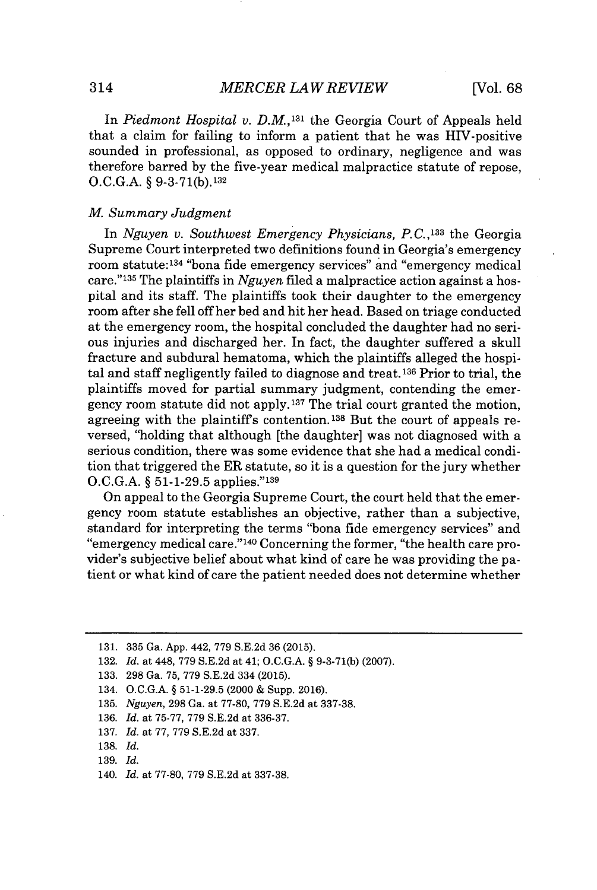In *Piedmont Hospital v. D.M.,131* the Georgia Court of Appeals held that a claim for failing to inform a patient that he was HIV-positive sounded in professional, as opposed to ordinary, negligence and was therefore barred **by** the five-year medical malpractice statute of repose, **O.C.G.A. § 9-3-71(b).132**

#### *M. Summary Judgment*

*In Nguyen v. Southwest Emergency Physicians, P.C.,133* the Georgia Supreme Court interpreted two definitions found in Georgia's emergency room statute:<sup>134</sup> "bona fide emergency services" and "emergency medical care." <sup>1</sup><sup>35</sup>The plaintiffs in *Nguyen* filed a malpractice action against a hospital and its staff. The plaintiffs took their daughter to the emergency room after she fell off her bed and hit her head. Based on triage conducted at the emergency room, the hospital concluded the daughter had no serious injuries and discharged her. In fact, the daughter suffered a skull fracture and subdural hematoma, which the plaintiffs alleged the hospital and staff negligently failed to diagnose and treat.<sup>136</sup> Prior to trial, the plaintiffs moved for partial summary judgment, contending the emergency room statute did not apply. **'37** The trial court granted the motion, agreeing with the plaintiffs contention. **138** But the court of appeals reversed, "holding that although [the daughter] was not diagnosed with a serious condition, there was some evidence that she had a medical condition that triggered the ER statute, so it is a question for the jury whether **O.C.G.A. § 51-1-29.5** applies." <sup>139</sup>

On appeal to the Georgia Supreme Court, the court held that the emergency room statute establishes an objective, rather than a subjective, standard for interpreting the terms "bona fide emergency services" and "emergency medical care."<sup>140</sup> Concerning the former, "the health care provider's subjective belief about what kind of care he was providing the patient or what kind of care the patient needed does not determine whether

**<sup>131. 335</sup>** Ga. **App.** 442, **779 S.E.2d 36 (2015).**

**<sup>132.</sup>** *Id. at* 448, **779 S.E.2d** at 41; **O.C.G.A.** *§* **9-3-71(b) (2007).**

**<sup>133. 298</sup>** Ga. **75, 779 S.E.2d** 334 **(2015).**

<sup>134.</sup> **O.C.G.A.** *§* **51-1-29.5** (2000 **&** Supp. **2016).**

**<sup>135.</sup>** *Nguyen,* **298** Ga. at **77-80, 779 S.E.2d** at **337-38.**

**<sup>136.</sup>** *Id. at* **75-77, 779 S.E.2d** at **336-37.**

**<sup>137.</sup>** *Id. at* **77, 779 S.E.2d** at **337.**

**<sup>138.</sup>** *Id.*

**<sup>139.</sup>** *Id.*

<sup>140.</sup> *Id. at* **77-80, 779 S.E.2d** at **337-38.**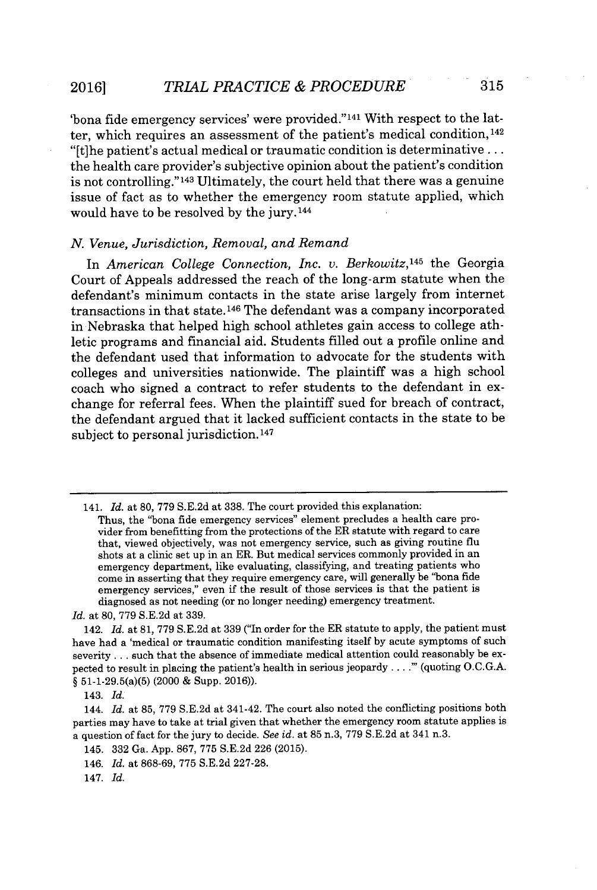'bona fide emergency services' were provided."<sup>141</sup> With respect to the latter, which requires an assessment of the patient's medical condition,<sup>142</sup> "[t]he patient's actual medical or traumatic condition is determinative **...** the health care provider's subjective opinion about the patient's condition is not controlling."<sup>143</sup> Ultimately, the court held that there was a genuine issue of fact as to whether the emergency room statute applied, which would have to be resolved **by** the jury. **<sup>144</sup>**

#### *N. Venue, Jurisdiction, Removal, and Remand*

In *American College Connection, Inc. v. Berkowitz,1<sup>45</sup>*the Georgia Court of Appeals addressed the reach of the long-arm statute when the defendant's minimum contacts in the state arise largely from internet transactions in that state.<sup>146</sup> The defendant was a company incorporated in Nebraska that helped high school athletes gain access to college athletic programs and financial aid. Students filled out a profile online and the defendant used that information to advocate for the students with colleges and universities nationwide. The plaintiff was a high school coach who signed a contract to refer students to the defendant in exchange for referral fees. When the plaintiff sued for breach of contract, the defendant argued that it lacked sufficient contacts in the state to be subject to personal jurisdiction.<sup>147</sup>

<sup>141.</sup> *Id.* at **80, 779 S.E.2d** at **338.** The court provided this explanation:

Thus, the "bona fide emergency services" element precludes a health care provider from benefitting from the protections of the ER statute with regard to care that, viewed objectively, was not emergency service, such as giving routine flu shots at a clinic set up in an ER. But medical services commonly provided in an emergency department, like evaluating, classifying, and treating patients who come in asserting that they require emergency care, will generally be "bona fide emergency services," even if the result of those services is that the patient is diagnosed as not needing (or no longer needing) emergency treatment.

*Id.* at **80, 779 S.E.2d** at **339.**

<sup>142.</sup> *Id.* at **81, 779 S.E.2d** at **339** ("In order for the ER statute to apply, the patient must have had a 'medical or traumatic condition manifesting itself **by** acute symptoms of such severity **.** . **.** such that the absence of immediate medical attention could reasonably be expected to result in placing the patient's health in serious jeopardy. **. . ."'** (quoting **O.C.G.A.** *§* 51-1-29.5(a)(5) (2000 **&** Supp. **2016)).**

<sup>143.</sup> *Id.*

<sup>144.</sup> *Id.* at **85, 779 S.E.2d** at 341-42. The court also noted the conflicting positions both parties may have to take at trial given that whether the emergency room statute applies is a question of fact for the jury to decide. *See id.* at **85** n.3, **779 S.E.2d** at 341 n.3.

<sup>145.</sup> **332** Ga. **App. 867, 775 S.E.2d 226 (2015).**

<sup>146.</sup> *Id.* at **868-69, 775 S.E.2d 227-28.**

<sup>147.</sup> *Id.*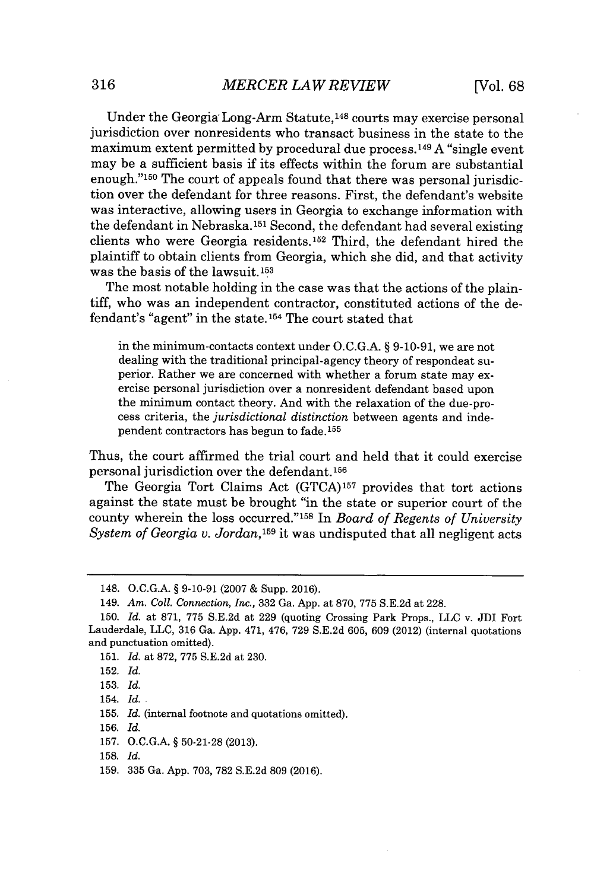Under the Georgia Long-Arm Statute,<sup>148</sup> courts may exercise personal jurisdiction over nonresidents who transact business in the state to the maximum extent permitted **by** procedural due process. **149 A** "single event may be a sufficient basis if its effects within the forum are substantial enough."<sup>150</sup> The court of appeals found that there was personal jurisdiction over the defendant for three reasons. First, the defendant's website was interactive, allowing users in Georgia to exchange information with the defendant in Nebraska.<sup>151</sup> Second, the defendant had several existing clients who were Georgia residents.<sup>152</sup> Third, the defendant hired the plaintiff to obtain clients from Georgia, which she did, and that activity was the basis of the lawsuit. **<sup>153</sup>**

The most notable holding in the case was that the actions of the plaintiff, who was an independent contractor, constituted actions of the defendant's "agent" in the state.1<sup>54</sup>The court stated that

in the minimum-contacts context under **O.C.G.A.** *§* **9-10-91,** we are not dealing with the traditional principal-agency theory of respondeat superior. Rather we are concerned with whether a forum state may exercise personal jurisdiction over a nonresident defendant based upon the minimum contact theory. And with the relaxation of the due-process criteria, the *jurisdictional distinction* between agents and independent contractors has begun to fade.15<sup>5</sup>

Thus, the court affirmed the trial court and held that it could exercise personal jurisdiction over the defendant.<sup>156</sup>

The Georgia Tort Claims Act **(GTCA)157** provides that tort actions against the state must be brought "in the state or superior court of the county wherein the loss occurred."<sup>158</sup>In *Board of Regents of University System of Georgia v. Jordan,1<sup>59</sup>*it was undisputed that all negligent acts

<sup>148.</sup> **O.C.G.A. § 9-10-91 (2007 &** Supp. **2016).**

<sup>149.</sup> *Am. Coll. Connection, Inc.,* **332** Ga. **App.** at **870, 775 S.E.2d** at **228.**

**<sup>150.</sup>** *Id.* at **871, 775 S.E.2d** at **229** (quoting Crossing Park Props., **LLC** v. JDI Fort Lauderdale, **LLC, 316** Ga. **App.** 471, 476, **729 S.E.2d 605, 609** (2012) (internal quotations and punctuation omitted).

**<sup>151.</sup>** *Id.* at **872, 775 S.E.2d** at **230.**

**<sup>152.</sup>** *Id.*

**<sup>153.</sup>** *Id.*

<sup>154.</sup> *Id.*

**<sup>155.</sup>** *Id.* (internal footnote and quotations omitted).

**<sup>156.</sup>** *Id.*

**<sup>157.</sup> O.C.G.A. § 50-21-28 (2013).**

**<sup>158.</sup>** *Id.*

**<sup>159. 335</sup>** Ga. **App. 703, 782 S.E.2d 809 (2016).**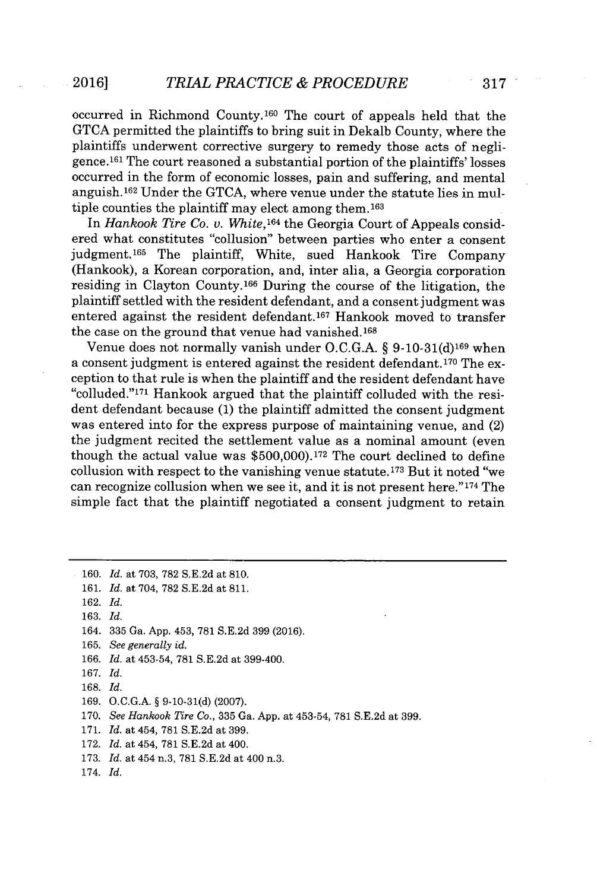occurred in Richmond County.<sup>160</sup> The court of appeals held that the **GTCA** permitted the plaintiffs to bring suit in Dekalb County, where the plaintiffs underwent corrective surgery to remedy those acts of negligence.<sup>161</sup> The court reasoned a substantial portion of the plaintiffs' losses occurred in the form of economic losses, pain and suffering, and mental anguish. 162 Under the **GTCA,** where venue under the statute lies in multiple counties the plaintiff may elect among them.1<sup>63</sup>

In *Hankook Tire Co. v. White*, <sup>164</sup> the Georgia Court of Appeals considered what constitutes "collusion" between parties who enter a consent judgment.165 The plaintiff, White, sued Hankook Tire Company (Hankook), a Korean corporation, and, inter alia, a Georgia corporation residing in Clayton County.<sup>166</sup> During the course of the litigation, the plaintiff settled with the resident defendant, and a consent judgment was entered against the resident defendant.<sup>167</sup> Hankook moved to transfer the case on the ground that venue had vanished.<sup>168</sup>

Venue does not normally vanish under **O.C.G.A.** *§* **9-10-31(d)169** when a consent judgment is entered against the resident defendant.<sup>170</sup> The exception to that rule is when the plaintiff and the resident defendant have "colluded." <sup>17</sup>1 Hankook argued that the plaintiff colluded with the resident defendant because **(1)** the plaintiff admitted the consent judgment was entered into for the express purpose of maintaining venue, and (2) the judgment recited the settlement value as a nominal amount (even though the actual value was **\$500,000).172** The court declined to define collusion with respect to the vanishing venue statute.173 But it noted "we can recognize collusion when we see it, and it is not present here." $174$  The simple fact that the plaintiff negotiated a consent judgment to retain

**<sup>160.</sup>** *Id. at* **703, 782 S.E.2d** at **810. 161.** *Id. at* 704, **782 S.E.2d** at **811. 162.** *Id.* **163.** *Id.* 164. **335** Ga. **App.** 453, **781 S.E.2d 399 (2016). 165.** *See generally id.* **166.** *Id. at* 453-54, **781 S.E.2d** at 399-400. **167.** *Id.* **168.** *Id.* **169. O.C.G.A. § 9-10-31(d) (2007). 170.** *See Hankook Tire Co.,* **335** Ga. **App.** at 453-54, **781 S.E.2d** at **399. 171.** *Id.* at 454, **781 S.E.2d** at **399. 172.** *Id.* at 454, **781 S.E.2d** at 400. **173.** *Id.* at 454 n.3, **781 S.E.2d** at 400 n.3. 174. *Id.*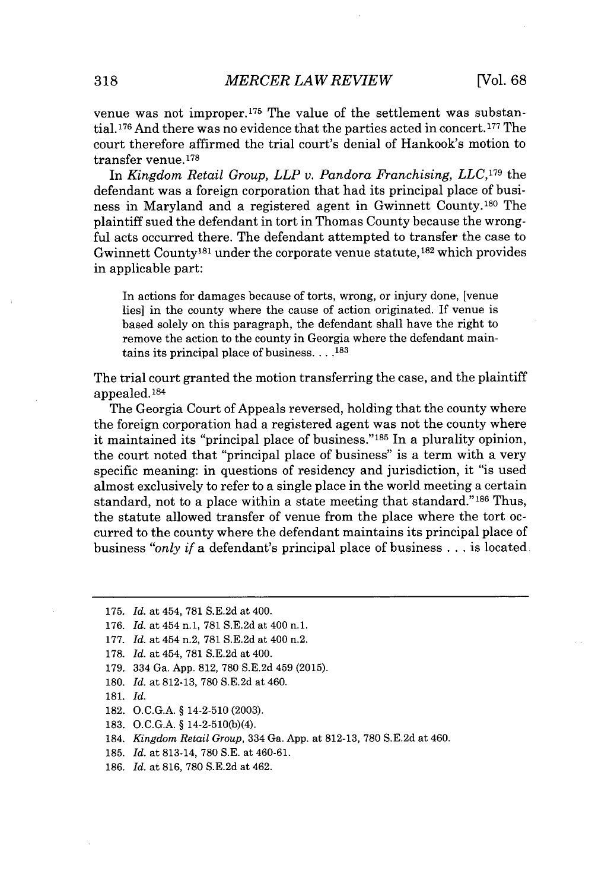venue was not improper.175 The value of the settlement was substantial. <sup>17</sup>6 And there was no evidence that the parties acted in concert. **177** The court therefore affirmed the trial court's denial of Hankook's motion to transfer venue. <sup>178</sup>

In *Kingdom Retail Group, LLP v. Pandora Franchising, LLC,179* the defendant was a foreign corporation that had its principal place of business in Maryland and a registered agent in Gwinnett County.<sup>180</sup> The plaintiff sued the defendant in tort in Thomas County because the wrongful acts occurred there. The defendant attempted to transfer the case to Gwinnett County<sup>181</sup> under the corporate venue statute,<sup>182</sup> which provides in applicable part:

In actions for damages because of torts, wrong, or injury done, [venue lies] in the county where the cause of action originated. If venue is based solely on this paragraph, the defendant shall have the right to remove the action to the county in Georgia where the defendant maintains its principal place of business. **. . .183**

The trial court granted the motion transferring the case, and the plaintiff appealed.184

The Georgia Court of Appeals reversed, holding that the county where the foreign corporation had a registered agent was not the county where it maintained its "principal place of business."<sup>185</sup> In a plurality opinion, the court noted that "principal place of business" is a term with a very specific meaning: in questions of residency and jurisdiction, it "is used almost exclusively to refer to a single place in the world meeting a certain standard, not to a place within a state meeting that standard." $186$  Thus, the statute allowed transfer of venue from the place where the tort occurred to the county where the defendant maintains its principal place of business *"only if* a defendant's principal place of business **.** . **.** is located

- **180.** *Id.* at **812-13, 780 S.E.2d** at 460.
- **181.** *Id.*
- **182. O.C.G.A. §** 14-2-510 **(2003).**
- **183. O.C.G.A. §** 14-2-510(b)(4).

184. *Kingdom Retail Group,* 334 Ga. **App.** at **812-13, 780 S.E.2d** at 460.

- **185.** *Id.* at 813-14, **780 S.E.** at 460-61.
- **186.** *Id.* at **816, 780 S.E.2d** at 462.

**<sup>175.</sup>** *Id.* at 454, **781 S.E.2d** at 400.

<sup>176.</sup> *Id.* at 454 n.1, 781 S.E.2d at 400 n.1.

**<sup>177.</sup>** *Id.* at 454 n.2, **781 S.E.2d** at 400 n.2.

**<sup>178.</sup>** *Id.* at 454, **781 S.E.2d** at 400.

**<sup>179.</sup>** 334 Ga. **App. 812, 780 S.E.2d** 459 **(2015).**